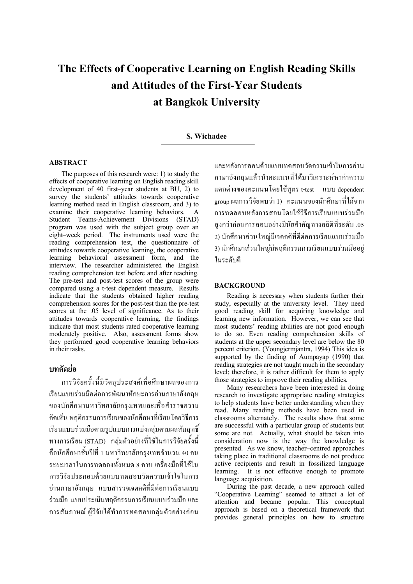# **The Effects of Cooperative Learning on English Reading Skills and Attitudes of the First-Year Students at Bangkok University**

## **S. Wichadee**

## **ABSTRACT**

The purposes of this research were: 1) to study the effects of cooperative learning on English reading skill development of 40 first–year students at BU, 2) to survey the students' attitudes towards cooperative learning method used in English classroom, and 3) to examine their cooperative learning behaviors. A Student Teams-Achievement Divisions (STAD) program was used with the subject group over an eight–week period. The instruments used were the reading comprehension test, the questionnaire of attitudes towards cooperative learning, the cooperative learning behavioral assessment form, and the interview. The researcher administered the English reading comprehension test before and after teaching. The pre-test and post-test scores of the group were compared using a t-test dependent measure. Results indicate that the students obtained higher reading comprehension scores for the post-test than the pre-test scores at the .05 level of significance. As to their attitudes towards cooperative learning, the findings indicate that most students rated cooperative learning moderately positive. Also, assessment forms show they performed good cooperative learning behaviors in their tasks.

# **บทคัดยอ**

การวิจัยครั้งนี้มีวัตถุประสงคเพื่อศึกษาผลของการ เรียนแบบรวมมือตอการพัฒนาทักษะการอานภาษาอังกฤษ ของนักศึกษามหาวิทยาลัยกรุงเทพและเพื่อสํารวจความ คิดเห็น พฤติกรรมการเรียนของนักศึกษาที่เรียนโดยวิธีการ เรียนแบบรวมมือตามรูปแบบการแบงกลุมตามผลสัมฤทธิ์ ทางการเรียน (STAD) กลุมตัวอยางที่ใชในการวิจัยครั้งนี้ คือนักศึกษาชั้นปที่ 1 มหาวิทยาลัยกรุงเทพจํานวน 40 คน ระยะเวลาในการทดลองทั้งหมด 8 คาบ เครื่องมือที่ใชใน การวิจัยประกอบดวยแบบทดสอบวัดความเขาใจในการ อานภาษาอังกฤษ แบบสํารวจเจตคติที่มีตอการเรียนแบบ รวมมือ แบบประเมินพฤติกรรมการเรียนแบบรวมมือและ การสัมภาษณ์ ผู้วิจัยได้ทำการทดสอบกลุ่มตัวอย่างก่อน

และหลังการสอนดวยแบบทดสอบวัดความเขาในการอาน ภาษาอังกฤษแลวนําคะแนนที่ไดมาวิเคราะหหาคาความ แตกตางของคะแนนโดยใชสูตร t-test แบบ dependent group ผลการวิจัยพบว่า 1) คะแนนของนักศึกษาที่ได้จาก การทดสอบหลังการสอนโดยใชวิธีการเรียนแบบรวมมือ สูงกวากอนการสอนอยางมีนัยสําคัญทางสถิติที่ระดับ .05 2) นักศึกษาสวนใหญมีเจตคติที่ดีตอการเรียนแบบรวมมือ 3) นักศึกษาสวนใหญมีพฤติกรรมการเรียนแบบรวมมืออยู ในระดับดี

## **BACKGROUND**

Reading is necessary when students further their study, especially at the university level. They need good reading skill for acquiring knowledge and learning new information. However, we can see that most students' reading abilities are not good enough to do so. Even reading comprehension skills of students at the upper secondary level are below the 80 percent criterion. (Youngjermjantra, 1994) This idea is supported by the finding of Aumpayap (1990) that reading strategies are not taught much in the secondary level; therefore, it is rather difficult for them to apply those strategies to improve their reading abilities.

Many researchers have been interested in doing research to investigate appropriate reading strategies to help students have better understanding when they read. Many reading methods have been used in classrooms alternately. The results show that some are successful with a particular group of students but some are not. Actually, what should be taken into consideration now is the way the knowledge is presented. As we know, teacher–centred approaches taking place in traditional classrooms do not produce active recipients and result in fossilized language learning. It is not effective enough to promote language acquisition.

During the past decade, a new approach called "Cooperative Learning" seemed to attract a lot of attention and became popular. This conceptual approach is based on a theoretical framework that provides general principles on how to structure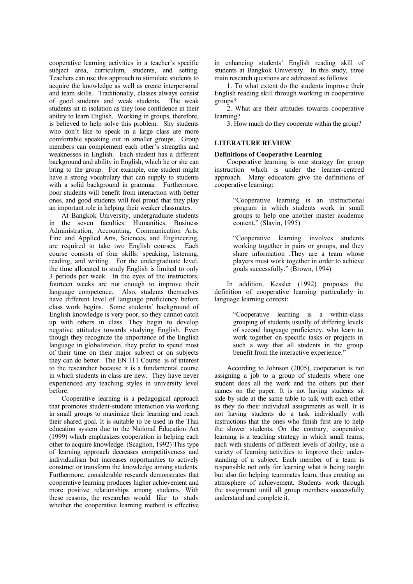cooperative learning activities in a teacher's specific subject area, curriculum, students, and setting. Teachers can use this approach to stimulate students to acquire the knowledge as well as create interpersonal and team skills. Traditionally, classes always consist of good students and weak students. The weak students sit in isolation as they lose confidence in their ability to learn English. Working in groups, therefore, is believed to help solve this problem. Shy students who don't like to speak in a large class are more comfortable speaking out in smaller groups. Group members can complement each other's strengths and weaknesses in English. Each student has a different background and ability in English, which he or she can bring to the group. For example, one student might have a strong vocabulary that can supply to students with a solid background in grammar. Furthermore, poor students will benefit from interaction with better ones, and good students will feel proud that they play an important role in helping their weaker classmates.

At Bangkok University, undergraduate students in the seven faculties: Humanities, Business Administration, Accounting, Communication Arts, Fine and Applied Arts, Sciences, and Engineering, are required to take two English courses. Each course consists of four skills: speaking, listening, reading, and writing. For the undergraduate level, the time allocated to study English is limited to only 3 periods per week. In the eyes of the instructors, fourteen weeks are not enough to improve their language competence. Also, students themselves have different level of language proficiency before class work begins. Some students' background of English knowledge is very poor, so they cannot catch up with others in class. They begin to develop negative attitudes towards studying English. Even though they recognize the importance of the English language in globalization, they prefer to spend most of their time on their major subject or on subjects they can do better. The EN 111 Course is of interest to the researcher because it is a fundamental course in which students in class are new. They have never experienced any teaching styles in university level before.

Cooperative learning is a pedagogical approach that promotes student-student interaction via working in small groups to maximize their learning and reach their shared goal. It is suitable to be used in the Thai education system due to the National Education Act (1999) which emphasizes cooperation in helping each other to acquire knowledge. (Scaglion, 1992) This type of learning approach decreases competitiveness and individualism but increases opportunities to actively construct or transform the knowledge among students. Furthermore, considerable research demonstrates that cooperative learning produces higher achievement and more positive relationships among students. With these reasons, the researcher would like to study whether the cooperative learning method is effective

in enhancing students' English reading skill of students at Bangkok University. In this study, three main research questions are addressed as follows:

1. To what extent do the students improve their English reading skill through working in cooperative groups?

2. What are their attitudes towards cooperative learning?

3. How much do they cooperate within the group?

# **LITERATURE REVIEW**

## **Definitions of Cooperative Learning**

Cooperative learning is one strategy for group instruction which is under the learner-centred approach. Many educators give the definitions of cooperative learning:

> "Cooperative learning is an instructional program in which students work in small groups to help one another master academic content." (Slavin, 1995)

> "Cooperative learning involves students working together in pairs or groups, and they share information .They are a team whose players must work together in order to achieve goals successfully." (Brown, 1994)

In addition, Kessler (1992) proposes the definition of cooperative learning particularly in language learning context:

> "Cooperative learning is a within-class grouping of students usually of differing levels of second language proficiency, who learn to work together on specific tasks or projects in such a way that all students in the group benefit from the interactive experience."

According to Johnson (2005), cooperation is not assigning a job to a group of students where one student does all the work and the others put their names on the paper. It is not having students sit side by side at the same table to talk with each other as they do their individual assignments as well. It is not having students do a task individually with instructions that the ones who finish first are to help the slower students. On the contrary, cooperative learning is a teaching strategy in which small teams, each with students of different levels of ability, use a variety of learning activities to improve their understanding of a subject. Each member of a team is responsible not only for learning what is being taught but also for helping teammates learn, thus creating an atmosphere of achievement. Students work through the assignment until all group members successfully understand and complete it.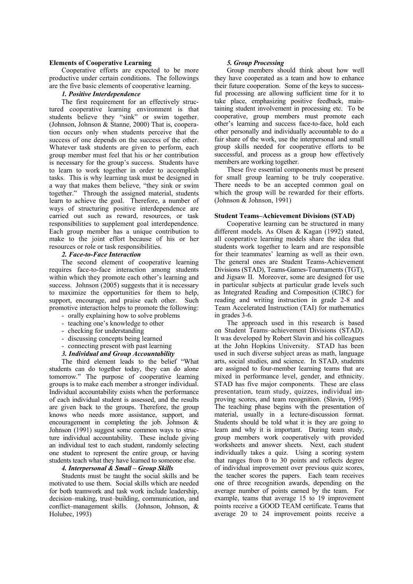#### **Elements of Cooperative Learning**

Cooperative efforts are expected to be more productive under certain conditions. The followings are the five basic elements of cooperative learning.

#### *1. Positive Interdependence*

The first requirement for an effectively structured cooperative learning environment is that students believe they "sink" or swim together. (Johnson, Johnson & Stanne, 2000) That is, cooperation occurs only when students perceive that the success of one depends on the success of the other. Whatever task students are given to perform, each group member must feel that his or her contribution is necessary for the group's success. Students have to learn to work together in order to accomplish tasks. This is why learning task must be designed in a way that makes them believe, "they sink or swim together." Through the assigned material, students learn to achieve the goal. Therefore, a number of ways of structuring positive interdependence are carried out such as reward, resources, or task responsibilities to supplement goal interdependence. Each group member has a unique contribution to make to the joint effort because of his or her resources or role or task responsibilities.

## *2. Face-to-Face Interaction*

The second element of cooperative learning requires face-to-face interaction among students within which they promote each other's learning and success. Johnson (2005) suggests that it is necessary to maximize the opportunities for them to help, support, encourage, and praise each other. Such promotive interaction helps to promote the following:

- orally explaining how to solve problems - teaching one's knowledge to other
- checking for understanding
- discussing concepts being learned
- connecting present with past learning
- *3. Individual and Group Accountability*

The third element leads to the belief "What students can do together today, they can do alone tomorrow." The purpose of cooperative learning groups is to make each member a stronger individual. Individual accountability exists when the performance of each individual student is assessed, and the results are given back to the groups. Therefore, the group knows who needs more assistance, support, and encouragement in completing the job. Johnson & Johnson (1991) suggest some common ways to structure individual accountability. These include giving an individual test to each student, randomly selecting one student to represent the entire group, or having students teach what they have learned to someone else.

## *4. Interpersonal & Small – Group Skills*

Students must be taught the social skills and be motivated to use them. Social skills which are needed for both teamwork and task work include leadership, decision–making, trust–building, communication, and conflict–management skills. (Johnson, Johnson, & Holubec, 1993)

#### *5. Group Processing*

Group members should think about how well they have cooperated as a team and how to enhance their future cooperation. Some of the keys to successful processing are allowing sufficient time for it to take place, emphasizing positive feedback, maintaining student involvement in processing etc. To be cooperative, group members must promote each other's learning and success face-to-face, hold each other personally and individually accountable to do a fair share of the work, use the interpersonal and small group skills needed for cooperative efforts to be successful, and process as a group how effectively members are working together.

These five essential components must be present for small group learning to be truly cooperative. There needs to be an accepted common goal on which the group will be rewarded for their efforts. (Johnson & Johnson, 1991)

## **Student Teams–Achievement Divisions (STAD)**

Cooperative learning can be structured in many different models. As Olsen & Kagan (1992) stated, all cooperative learning models share the idea that students work together to learn and are responsible for their teammates' learning as well as their own. The general ones are Student Teams-Achievement Divisions (STAD), Teams-Games-Tournaments (TGT), and Jigsaw II. Moreover, some are designed for use in particular subjects at particular grade levels such as Integrated Reading and Composition (CIRC) for reading and writing instruction in grade 2-8 and Team Accelerated Instruction (TAI) for mathematics in grades 3-6.

The approach used in this research is based on Student Teams–achievement Divisions (STAD). It was developed by Robert Slavin and his colleagues at the John Hopkins University. STAD has been used in such diverse subject areas as math, language arts, social studies, and science. In STAD, students are assigned to four-member learning teams that are mixed in performance level, gender, and ethnicity. STAD has five major components. These are class presentation, team study, quizzes, individual improving scores, and team recognition. (Slavin, 1995) The teaching phase begins with the presentation of material, usually in a lecture-discussion format. Students should be told what it is they are going to learn and why it is important. During team study, group members work cooperatively with provided worksheets and answer sheets. Next, each student individually takes a quiz. Using a scoring system that ranges from 0 to 30 points and reflects degree of individual improvement over previous quiz scores, the teacher scores the papers. Each team receives one of three recognition awards, depending on the average number of points earned by the team. For example, teams that average 15 to 19 improvement points receive a GOOD TEAM certificate. Teams that average 20 to 24 improvement points receive a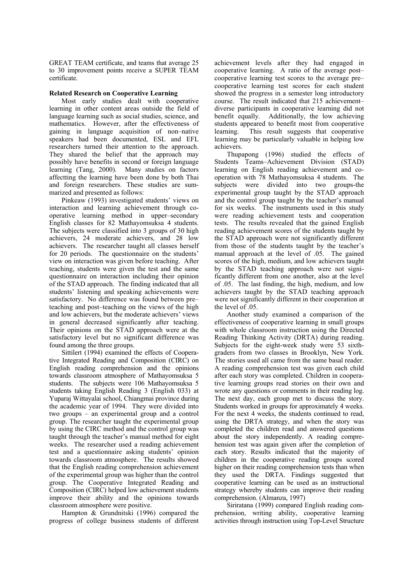GREAT TEAM certificate, and teams that average 25 to 30 improvement points receive a SUPER TEAM certificate.

## **Related Research on Cooperative Learning**

Most early studies dealt with cooperative learning in other content areas outside the field of language learning such as social studies, science, and mathematics. However, after the effectiveness of gaining in language acquisition of non–native speakers had been documented, ESL and EFL researchers turned their attention to the approach. They shared the belief that the approach may possibly have benefits in second or foreign language learning (Tang, 2000). Many studies on factors affectting the learning have been done by both Thai and foreign researchers. These studies are summarized and presented as follows:

Pinkeaw (1993) investigated students' views on interaction and learning achievement through cooperative learning method in upper–secondary English classes for 82 Mathayomsuksa 4 students. The subjects were classified into 3 groups of 30 high achievers, 24 moderate achievers, and 28 low achievers. The researcher taught all classes herself for 20 periods. The questionnaire on the students' view on interaction was given before teaching. After teaching, students were given the test and the same questionnaire on interaction including their opinion of the STAD approach. The finding indicated that all students' listening and speaking achievements were satisfactory. No difference was found between pre– teaching and post–teaching on the views of the high and low achievers, but the moderate achievers' views in general decreased significantly after teaching. Their opinions on the STAD approach were at the satisfactory level but no significant difference was found among the three groups.

Sittilert (1994) examined the effects of Cooperative Integrated Reading and Composition (CIRC) on English reading comprehension and the opinions towards classroom atmosphere of Mathayomsuksa 5 students. The subjects were 106 Mathayomsuksa 5 students taking English Reading 3 (English 033) at Yuparaj Wittayalai school, Chiangmai province during the academic year of 1994. They were divided into two groups – an experimental group and a control group. The researcher taught the experimental group by using the CIRC method and the control group was taught through the teacher's manual method for eight weeks. The researcher used a reading achievement test and a questionnaire asking students' opinion towards classroom atmosphere. The results showed that the English reading comprehension achievement of the experimental group was higher than the control group. The Cooperative Integrated Reading and Composition (CIRC) helped low achievement students improve their ability and the opinions towards classroom atmosphere were positive.

Hampton & Grundnitski (1996) compared the progress of college business students of different

achievement levels after they had engaged in cooperative learning. A ratio of the average post– cooperative learning test scores to the average pre– cooperative learning test scores for each student showed the progress in a semester long introductory course. The result indicated that 215 achievement– diverse participants in cooperative learning did not benefit equally. Additionally, the low achieving students appeared to benefit most from cooperative learning. This result suggests that cooperative learning may be particularly valuable in helping low achievers.

Thupapong (1996) studied the effects of Students Teams–Achievement Division (STAD) learning on English reading achievement and cooperation with 78 Mathayomsuksa 4 students. The subjects were divided into two groups-the experimental group taught by the STAD approach and the control group taught by the teacher's manual for six weeks. The instruments used in this study were reading achievement tests and cooperation tests. The results revealed that the gained English reading achievement scores of the students taught by the STAD approach were not significantly different from those of the students taught by the teacher's manual approach at the level of .05. The gained scores of the high, medium, and low achievers taught by the STAD teaching approach were not significantly different from one another, also at the level of .05. The last finding, the high, medium, and low achievers taught by the STAD teaching approach were not significantly different in their cooperation at the level of .05.

Another study examined a comparison of the effectiveness of cooperative learning in small groups with whole classroom instruction using the Directed Reading Thinking Activity (DRTA) during reading. Subjects for the eight-week study were 53 sixthgraders from two classes in Brooklyn, New York. The stories used all came from the same basal reader. A reading comprehension test was given each child after each story was completed. Children in cooperative learning groups read stories on their own and wrote any questions or comments in their reading log. The next day, each group met to discuss the story. Students worked in groups for approximately 4 weeks. For the next 4 weeks, the students continued to read, using the DRTA strategy, and when the story was completed the children read and answered questions about the story independently. A reading comprehension test was again given after the completion of each story. Results indicated that the majority of children in the cooperative reading groups scored higher on their reading comprehension tests than when they used the DRTA. Findings suggested that cooperative learning can be used as an instructional strategy whereby students can improve their reading comprehension. (Almanza, 1997)

Siriratana (1999) compared English reading comprehension, writing ability, cooperative learning activities through instruction using Top-Level Structure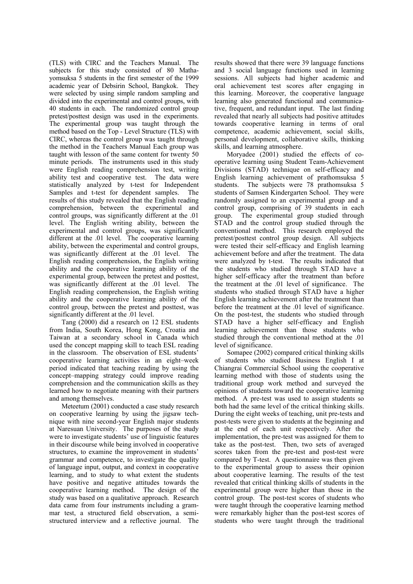(TLS) with CIRC and the Teachers Manual. The subjects for this study consisted of 80 Mathayomsuksa 5 students in the first semester of the 1999 academic year of Debsirin School, Bangkok. They were selected by using simple random sampling and divided into the experimental and control groups, with 40 students in each. The randomized control group pretest/posttest design was used in the experiments. The experimental group was taught through the method based on the Top - Level Structure (TLS) with CIRC, whereas the control group was taught through the method in the Teachers Manual Each group was taught with lesson of the same content for twenty 50 minute periods. The instruments used in this study were English reading comprehension test, writing ability test and cooperative test. The data were statistically analyzed by t-test for Independent Samples and t-test for dependent samples. The results of this study revealed that the English reading comprehension, between the experimental and control groups, was significantly different at the .01 level. The English writing ability, between the experimental and control groups, was significantly different at the .01 level. The cooperative learning ability, between the experimental and control groups, was significantly different at the .01 level. The English reading comprehension, the English writing ability and the cooperative learning ability of the experimental group, between the pretest and posttest, was significantly different at the .01 level. The English reading comprehension, the English writing ability and the cooperative learning ability of the control group, between the pretest and posttest, was significantly different at the .01 level.

Tang (2000) did a research on 12 ESL students from India, South Korea, Hong Kong, Croatia and Taiwan at a secondary school in Canada which used the concept mapping skill to teach ESL reading in the classroom. The observation of ESL students' cooperative learning activities in an eight–week period indicated that teaching reading by using the concept–mapping strategy could improve reading comprehension and the communication skills as they learned how to negotiate meaning with their partners and among themselves.

Meteetum (2001) conducted a case study research on cooperative learning by using the jigsaw technique with nine second-year English major students at Naresuan University. The purposes of the study were to investigate students' use of linguistic features in their discourse while being involved in cooperative structures, to examine the improvement in students' grammar and competence, to investigate the quality of language input, output, and context in cooperative learning, and to study to what extent the students have positive and negative attitudes towards the cooperative learning method. The design of the study was based on a qualitative approach. Research data came from four instruments including a grammar test, a structured field observation, a semistructured interview and a reflective journal. The

results showed that there were 39 language functions and 3 social language functions used in learning sessions. All subjects had higher academic and oral achievement test scores after engaging in this learning. Moreover, the cooperative language learning also generated functional and communicative, frequent, and redundant input. The last finding revealed that nearly all subjects had positive attitudes towards cooperative learning in terms of oral competence, academic achievement, social skills, personal development, collaborative skills, thinking skills, and learning atmosphere.

Moryadee (2001) studied the effects of cooperative learning using Student Team-Achievement Divisions (STAD) technique on self-efficacy and English learning achievement of prathomsuksa 5 students. The subjects were 78 prathomsuksa 5 students of Samsen Kindergarten School. They were randomly assigned to an experimental group and a control group, comprising of 39 students in each group. The experimental group studied through STAD and the control group studied through the conventional method. This research employed the pretest/posttest control group design. All subjects were tested their self-efficacy and English learning achievement before and after the treatment. The data were analyzed by t-test. The results indicated that the students who studied through STAD have a higher self-efficacy after the treatment than before the treatment at the .01 level of significance. The students who studied through STAD have a higher English learning achievement after the treatment than before the treatment at the .01 level of significance. On the post-test, the students who studied through STAD have a higher self-efficacy and English learning achievement than those students who studied through the conventional method at the .01 level of significance.

Somapee (2002) compared critical thinking skills of students who studied Business English I at Chiangrai Commercial School using the cooperative learning method with those of students using the traditional group work method and surveyed the opinions of students toward the cooperative learning method. A pre-test was used to assign students so both had the same level of the critical thinking skills. During the eight weeks of teaching, unit pre-tests and post-tests were given to students at the beginning and at the end of each unit respectively. After the implementation, the pre-test was assigned for them to take as the post-test. Then, two sets of averaged scores taken from the pre-test and post-test were compared by T-test. A questionnaire was then given to the experimental group to assess their opinion about cooperative learning. The results of the test revealed that critical thinking skills of students in the experimental group were higher than those in the control group. The post-test scores of students who were taught through the cooperative learning method were remarkably higher than the post-test scores of students who were taught through the traditional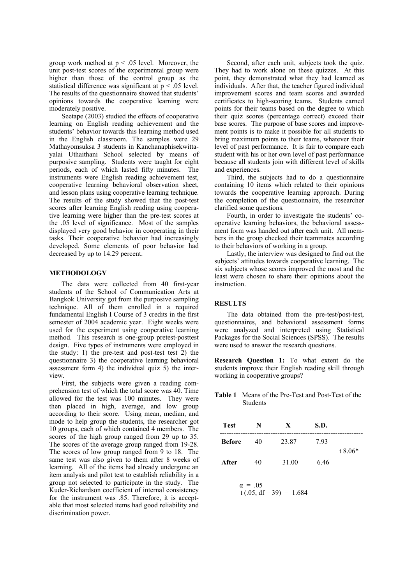group work method at  $p < .05$  level. Moreover, the unit post-test scores of the experimental group were higher than those of the control group as the statistical difference was significant at p < .05 level. The results of the questionnaire showed that students' opinions towards the cooperative learning were moderately positive.

Seetape (2003) studied the effects of cooperative learning on English reading achievement and the students' behavior towards this learning method used in the English classroom. The samples were 29 Mathayomsuksa 3 students in Kanchanaphisekwittayalai Uthaithani School selected by means of purposive sampling. Students were taught for eight periods, each of which lasted fifty minutes. The instruments were English reading achievement test, cooperative learning behavioral observation sheet, and lesson plans using cooperative learning technique. The results of the study showed that the post-test scores after learning English reading using cooperative learning were higher than the pre-test scores at the .05 level of significance. Most of the samples displayed very good behavior in cooperating in their tasks. Their cooperative behavior had increasingly developed. Some elements of poor behavior had decreased by up to 14.29 percent.

## **METHODOLOGY**

The data were collected from 40 first-year students of the School of Communication Arts at Bangkok University got from the purposive sampling technique. All of them enrolled in a required fundamental English I Course of 3 credits in the first semester of 2004 academic year. Eight weeks were used for the experiment using cooperative learning method. This research is one-group pretest-posttest design. Five types of instruments were employed in the study: 1) the pre-test and post-test test 2) the questionnaire 3) the cooperative learning behavioral assessment form 4) the individual quiz  $\overline{5}$ ) the interview.

First, the subjects were given a reading comprehension test of which the total score was 40. Time allowed for the test was 100 minutes. They were then placed in high, average, and low group according to their score. Using mean, median, and mode to help group the students, the researcher got 10 groups, each of which contained 4 members. The scores of the high group ranged from 29 up to 35. The scores of the average group ranged from 19-28. The scores of low group ranged from 9 to 18. The same test was also given to them after 8 weeks of learning. All of the items had already undergone an item analysis and pilot test to establish reliability in a group not selected to participate in the study. The Kuder-Richardson coefficient of internal consistency for the instrument was .85. Therefore, it is acceptable that most selected items had good reliability and discrimination power.

Second, after each unit, subjects took the quiz. They had to work alone on these quizzes. At this point, they demonstrated what they had learned as individuals. After that, the teacher figured individual improvement scores and team scores and awarded certificates to high-scoring teams. Students earned points for their teams based on the degree to which their quiz scores (percentage correct) exceed their base scores. The purpose of base scores and improvement points is to make it possible for all students to bring maximum points to their teams, whatever their level of past performance. It is fair to compare each student with his or her own level of past performance because all students join with different level of skills and experiences.

Third, the subjects had to do a questionnaire containing 10 items which related to their opinions towards the cooperative learning approach. During the completion of the questionnaire, the researcher clarified some questions.

Fourth, in order to investigate the students' cooperative learning behaviors, the behavioral assessment form was handed out after each unit. All members in the group checked their teammates according to their behaviors of working in a group.

Lastly, the interview was designed to find out the subjects' attitudes towards cooperative learning. The six subjects whose scores improved the most and the least were chosen to share their opinions about the instruction.

#### **RESULTS**

The data obtained from the pre-test/post-test, questionnaires, and behavioral assessment forms were analyzed and interpreted using Statistical Packages for the Social Sciences (SPSS). The results were used to answer the research questions.

**Research Question 1:** To what extent do the students improve their English reading skill through working in cooperative groups?

**Table 1** Means of the Pre-Test and Post-Test of the Students

| <b>Test</b>   | N  | X     | S.D. |           |
|---------------|----|-------|------|-----------|
| <b>Before</b> | 40 | 23.87 | 793  | $t.8.06*$ |
| After         | 40 | 31.00 | 646  |           |

 $\alpha = 0.05$  $t(.05, df = 39) = 1.684$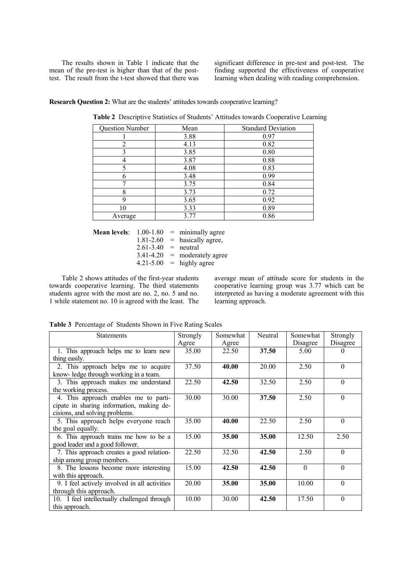The results shown in Table 1 indicate that the mean of the pre-test is higher than that of the posttest. The result from the t-test showed that there was

significant difference in pre-test and post-test. The finding supported the effectiveness of cooperative learning when dealing with reading comprehension.

**Research Question 2:** What are the students' attitudes towards cooperative learning?

| Question Number | Mean | <b>Standard Deviation</b> |
|-----------------|------|---------------------------|
|                 | 3.88 | 0.97                      |
| $\overline{2}$  | 4.13 | 0.82                      |
| 3               | 3.85 | 0.80                      |
| 4               | 3.87 | 0.88                      |
| 5               | 4.08 | 0.83                      |
| 6               | 3.48 | 0.99                      |
|                 | 3.75 | 0.84                      |
| 8               | 3.73 | 0.72                      |
| 9               | 3.65 | 0.92                      |
| 10              | 3.33 | 0.89                      |
| Average         | 3.77 | 0.86                      |

**Table 2** Descriptive Statistics of Students' Attitudes towards Cooperative Learning

**Mean levels**:  $1.00-1.80$  = minimally agree  $1.81-2.60$  = basically agree,  $2.61 - 3.40$  = neutral  $3.41 - 4.20$  = moderately agree  $4.21 - 5.00$  = highly agree

Table 2 shows attitudes of the first-year students towards cooperative learning. The third statements students agree with the most are no. 2, no. 5 and no. 1 while statement no. 10 is agreed with the least. The average mean of attitude score for students in the cooperative learning group was 3.77 which can be interpreted as having a moderate agreement with this learning approach.

**Table 3** Percentage of Students Shown in Five Rating Scales

| <b>Statements</b>                             | Strongly | Somewhat | Neutral | Somewhat | Strongly |
|-----------------------------------------------|----------|----------|---------|----------|----------|
|                                               | Agree    | Agree    |         | Disagree | Disagree |
| 1. This approach helps me to learn new        | 35.00    | 22.50    | 37.50   | 5.00     | $\theta$ |
| thing easily.                                 |          |          |         |          |          |
| 2. This approach helps me to acquire          | 37.50    | 40.00    | 20.00   | 2.50     | $\Omega$ |
| know-ledge through working in a team.         |          |          |         |          |          |
| 3. This approach makes me understand          | 22.50    | 42.50    | 32.50   | 2.50     | $\Omega$ |
| the working process.                          |          |          |         |          |          |
| 4. This approach enables me to parti-         | 30.00    | 30.00    | 37.50   | 2.50     | $\theta$ |
| cipate in sharing information, making de-     |          |          |         |          |          |
| cisions, and solving problems.                |          |          |         |          |          |
| 5. This approach helps everyone reach         | 35.00    | 40.00    | 22.50   | 2.50     | $\theta$ |
| the goal equally.                             |          |          |         |          |          |
| 6. This approach trains me how to be a        | 15.00    | 35.00    | 35.00   | 12.50    | 2.50     |
| good leader and a good follower.              |          |          |         |          |          |
| 7. This approach creates a good relation-     | 22.50    | 32.50    | 42.50   | 2.50     | $\theta$ |
| ship among group members.                     |          |          |         |          |          |
| 8. The lessons become more interesting        | 15.00    | 42.50    | 42.50   | $\Omega$ | $\theta$ |
| with this approach.                           |          |          |         |          |          |
| 9. I feel actively involved in all activities | 20.00    | 35.00    | 35.00   | 10.00    | $\theta$ |
| through this approach.                        |          |          |         |          |          |
| 10. I feel intellectually challenged through  | 10.00    | 30.00    | 42.50   | 17.50    | $\theta$ |
| this approach.                                |          |          |         |          |          |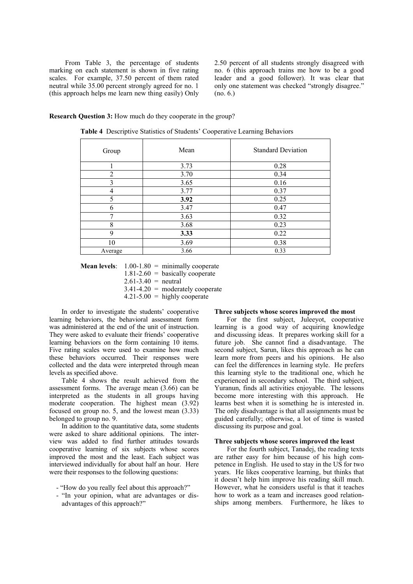From Table 3, the percentage of students marking on each statement is shown in five rating scales. For example, 37.50 percent of them rated neutral while 35.00 percent strongly agreed for no. 1 (this approach helps me learn new thing easily) Only 2.50 percent of all students strongly disagreed with no. 6 (this approach trains me how to be a good leader and a good follower). It was clear that only one statement was checked "strongly disagree." (no. 6.)

#### **Research Question 3:** How much do they cooperate in the group?

| Group          | Mean | <b>Standard Deviation</b> |
|----------------|------|---------------------------|
|                | 3.73 | 0.28                      |
| $\mathfrak{D}$ | 3.70 | 0.34                      |
| 3              | 3.65 | 0.16                      |
|                | 3.77 | 0.37                      |
| 5              | 3.92 | 0.25                      |
| 6              | 3.47 | 0.47                      |
| 7              | 3.63 | 0.32                      |
| 8              | 3.68 | 0.23                      |
| 9              | 3.33 | 0.22                      |
| 10             | 3.69 | 0.38                      |
| Average        | 3.66 | 0.33                      |

**Table 4** Descriptive Statistics of Students' Cooperative Learning Behaviors

**Mean levels**: 1.00-1.80 = minimally cooperate  $1.81-2.60$  = basically cooperate  $2.61 - 3.40$  = neutral

- $3.41 4.20$  = moderately cooperate
- $4.21 5.00 =$  highly cooperate

In order to investigate the students' cooperative learning behaviors, the behavioral assessment form was administered at the end of the unit of instruction. They were asked to evaluate their friends' cooperative learning behaviors on the form containing 10 items. Five rating scales were used to examine how much these behaviors occurred. Their responses were collected and the data were interpreted through mean levels as specified above.

Table 4 shows the result achieved from the assessment forms. The average mean (3.66) can be interpreted as the students in all groups having moderate cooperation. The highest mean (3.92) focused on group no. 5, and the lowest mean (3.33) belonged to group no. 9.

In addition to the quantitative data, some students were asked to share additional opinions. The interview was added to find further attitudes towards cooperative learning of six subjects whose scores improved the most and the least. Each subject was interviewed individually for about half an hour. Here were their responses to the following questions:

- "How do you really feel about this approach?"
- "In your opinion, what are advantages or disadvantages of this approach?"

#### **Three subjects whose scores improved the most**

For the first subject, Juleeyot, cooperative learning is a good way of acquiring knowledge and discussing ideas. It prepares working skill for a future job. She cannot find a disadvantage. The second subject, Sarun, likes this approach as he can learn more from peers and his opinions. He also can feel the differences in learning style. He prefers this learning style to the traditional one, which he experienced in secondary school. The third subject, Yuranun, finds all activities enjoyable. The lessons become more interesting with this approach. He learns best when it is something he is interested in. The only disadvantage is that all assignments must be guided carefully; otherwise, a lot of time is wasted discussing its purpose and goal.

#### **Three subjects whose scores improved the least**

For the fourth subject, Tanadej, the reading texts are rather easy for him because of his high competence in English. He used to stay in the US for two years. He likes cooperative learning, but thinks that it doesn't help him improve his reading skill much. However, what he considers useful is that it teaches how to work as a team and increases good relationships among members. Furthermore, he likes to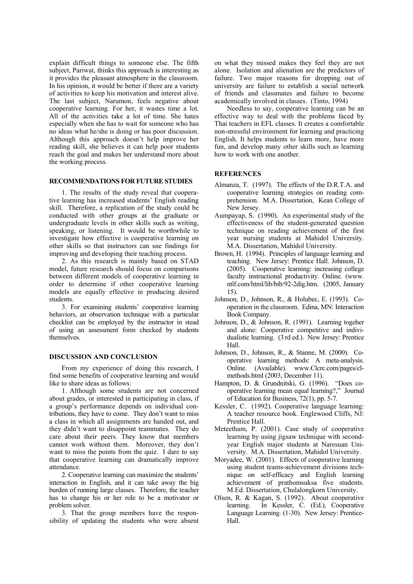explain difficult things to someone else. The fifth subject, Pariwat, thinks this approach is interesting as it provides the pleasant atmosphere in the classroom. In his opinion, it would be better if there are a variety of activities to keep his motivation and interest alive. The last subject, Narumon, feels negative about cooperative learning. For her, it wastes time a lot. All of the activities take a lot of time. She hates especially when she has to wait for someone who has no ideas what he/she is doing or has poor discussion. Although this approach doesn't help improve her reading skill, she believes it can help poor students reach the goal and makes her understand more about the working process.

## **RECOMMENDATIONS FOR FUTURE STUDIES**

1. The results of the study reveal that cooperative learning has increased students' English reading skill. Therefore, a replication of the study could be conducted with other groups at the graduate or undergraduate levels in other skills such as writing, speaking, or listening. It would be worthwhile to investigate how effective is cooperative learning on other skills so that instructors can use findings for improving and developing their teaching process.

2. As this research is mainly based on STAD model, future research should focus on comparisons between different models of cooperative learning in order to determine if other cooperative learning models are equally effective in producing desired students.

3. For examining students' cooperative learning behaviors, an observation technique with a particular checklist can be employed by the instructor in stead of using an assessment form checked by students themselves.

#### **DISCUSSION AND CONCLUSION**

From my experience of doing this research, I find some benefits of cooperative learning and would like to share ideas as follows:

1. Although some students are not concerned about grades, or interested in participating in class, if a group's performance depends on individual contributions, they have to come. They don't want to miss a class in which all assignments are handed out, and they didn't want to disappoint teammates. They do care about their peers. They know that members cannot work without them. Moreover, they don't want to miss the points from the quiz. I dare to say that cooperative learning can dramatically improve attendance.

2. Cooperative learning can maximize the students' interaction in English, and it can take away the big burden of running large classes. Therefore, the teacher has to change his or her role to be a motivator or problem solver.

3. That the group members have the responsibility of updating the students who were absent on what they missed makes they feel they are not alone. Isolation and alienation are the predictors of failure. Two major reasons for dropping out of university are failure to establish a social network of friends and classmates and failure to become academically involved in classes. (Tinto, 1994)

Needless to say, cooperative learning can be an effective way to deal with the problems faced by Thai teachers in EFL classes. It creates a comfortable non-stressful environment for learning and practicing English. It helps students to learn more, have more fun, and develop many other skills such as learning how to work with one another.

## **REFERENCES**

- Almanza, T. (1997). The effects of the D.R.T.A. and cooperative learning strategies on reading comprehension. M.A. Dissertation, Kean College of New Jersey.
- Aumpayap, S. (1990). An experimental study of the effectiveness of the student-generated question technique on reading achievement of the first year nursing students at Mahidol University. M.A. Dissertation, Mahidol University.
- Brown, H. (1994). Principles of language learning and teaching. New Jersey: Prentice Hall. Johnson, D. (2005). Cooperative learning: increasing college faculty instructional productivity. Online. (www. ntlf.com/html/lib/bib/92-2dig.htm. (2005, January 15).
- Johnson, D., Johnson, R., & Holubec, E. (1993). Cooperation in the classroom. Edina, MN: Interaction Book Company.
- Johnson, D., & Johnson, R. (1991). Learning togeher and alone: Cooperative competitive and individualistic learning. (3 rd ed.). New Jersey: Prentice Hall.
- Johnson, D., Johnson, R., & Stanne, M. (2000). Cooperative learning methods: A meta-analysis. Online. (Available). www.Clcrc.com/pages/clmethods.html (2003, December 11).
- Hampton, D. & Grundnitski, G. (1996). "Does cooperative learning mean equal learning?," Journal of Education for Business, 72(1), pp. 5-7.
- Kessler, C. (1992). Cooperative language learning: A teacher resource book. Englewood Cliffs, NJ: Prentice Hall.
- Meteetham, P. (2001). Case study of cooperative learning by using jigsaw technique with secondyear English major students at Naresuan University. M.A. Dissertation, Mahidol University.
- Moryadee, W. (2001). Effects of cooperative learning using student teams-achievement divisions technique on self-efficacy and English learning achievement of prathomsuksa five students. M.Ed. Dissertation, Chulalongkorn University.
- Olsen, R. & Kagan, S. (1992). About cooperative learning. In Kessler, C. (Ed.), Cooperative Language Learning. (1-30). New Jersey: Prentice-Hall.